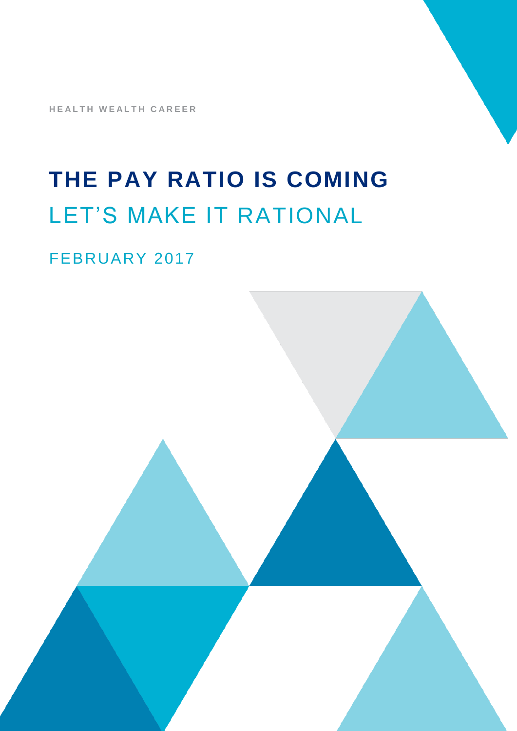**HEALTH WEALTH CAREER** 

# **THE PAY RATIO IS COMING** LET'S MAKE IT RATIONAL

### FEBRUARY 2017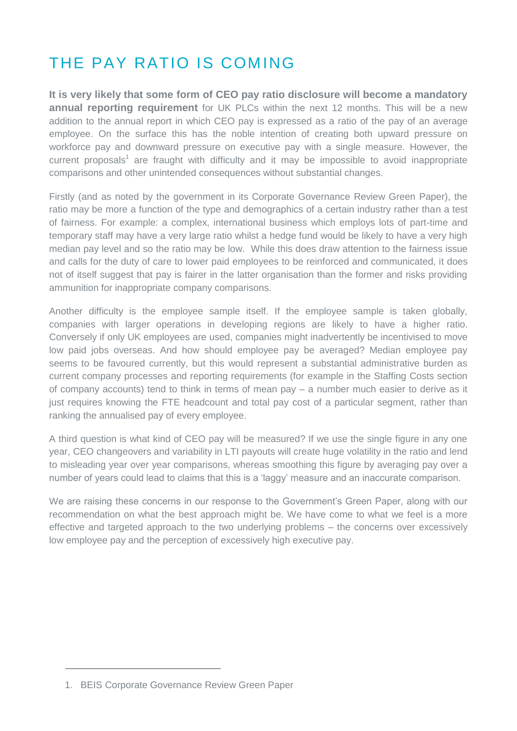# THE PAY RATIO IS COMING

**It is very likely that some form of CEO pay ratio disclosure will become a mandatory annual reporting requirement** for UK PLCs within the next 12 months. This will be a new addition to the annual report in which CEO pay is expressed as a ratio of the pay of an average employee. On the surface this has the noble intention of creating both upward pressure on workforce pay and downward pressure on executive pay with a single measure. However, the current proposals<sup>1</sup> are fraught with difficulty and it may be impossible to avoid inappropriate comparisons and other unintended consequences without substantial changes.

Firstly (and as noted by the government in its Corporate Governance Review Green Paper), the ratio may be more a function of the type and demographics of a certain industry rather than a test of fairness. For example: a complex, international business which employs lots of part-time and temporary staff may have a very large ratio whilst a hedge fund would be likely to have a very high median pay level and so the ratio may be low. While this does draw attention to the fairness issue and calls for the duty of care to lower paid employees to be reinforced and communicated, it does not of itself suggest that pay is fairer in the latter organisation than the former and risks providing ammunition for inappropriate company comparisons.

Another difficulty is the employee sample itself. If the employee sample is taken globally, companies with larger operations in developing regions are likely to have a higher ratio. Conversely if only UK employees are used, companies might inadvertently be incentivised to move low paid jobs overseas. And how should employee pay be averaged? Median employee pay seems to be favoured currently, but this would represent a substantial administrative burden as current company processes and reporting requirements (for example in the Staffing Costs section of company accounts) tend to think in terms of mean pay – a number much easier to derive as it just requires knowing the FTE headcount and total pay cost of a particular segment, rather than ranking the annualised pay of every employee.

A third question is what kind of CEO pay will be measured? If we use the single figure in any one year, CEO changeovers and variability in LTI payouts will create huge volatility in the ratio and lend to misleading year over year comparisons, whereas smoothing this figure by averaging pay over a number of years could lead to claims that this is a 'laggy' measure and an inaccurate comparison.

We are raising these concerns in our response to the Government's Green Paper, along with our recommendation on what the best approach might be. We have come to what we feel is a more effective and targeted approach to the two underlying problems – the concerns over excessively low employee pay and the perception of excessively high executive pay.

<sup>1.</sup> BEIS Corporate Governance Review Green Paper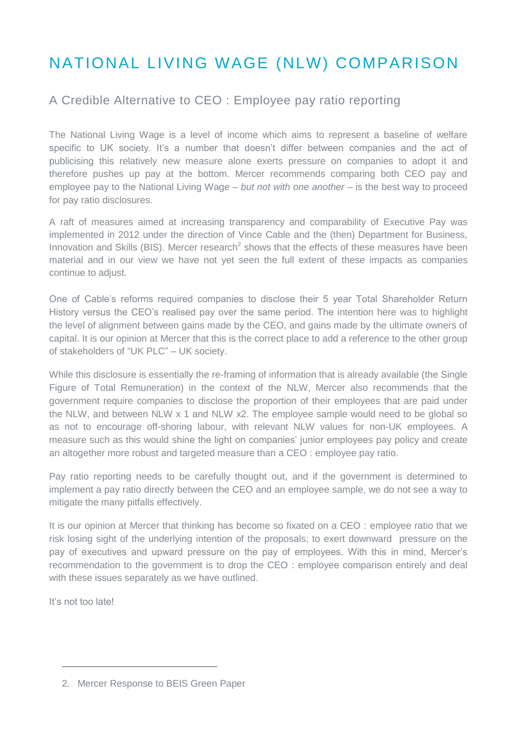# NATIONAL LIVING WAGE (NLW) COMPARISON

### A Credible Alternative to CEO : Employee pay ratio reporting

The National Living Wage is a level of income which aims to represent a baseline of welfare specific to UK society. It's a number that doesn't differ between companies and the act of publicising this relatively new measure alone exerts pressure on companies to adopt it and therefore pushes up pay at the bottom. Mercer recommends comparing both CEO pay and employee pay to the National Living Wage – *but not with one another* – is the best way to proceed for pay ratio disclosures.

A raft of measures aimed at increasing transparency and comparability of Executive Pay was implemented in 2012 under the direction of Vince Cable and the (then) Department for Business, Innovation and Skills (BIS). Mercer research<sup>2</sup> shows that the effects of these measures have been material and in our view we have not yet seen the full extent of these impacts as companies continue to adjust.

One of Cable's reforms required companies to disclose their 5 year Total Shareholder Return History versus the CEO's realised pay over the same period. The intention here was to highlight the level of alignment between gains made by the CEO, and gains made by the ultimate owners of capital. It is our opinion at Mercer that this is the correct place to add a reference to the other group of stakeholders of "UK PLC" – UK society.

While this disclosure is essentially the re-framing of information that is already available (the Single Figure of Total Remuneration) in the context of the NLW, Mercer also recommends that the government require companies to disclose the proportion of their employees that are paid under the NLW, and between NLW x 1 and NLW x2. The employee sample would need to be global so as not to encourage off-shoring labour, with relevant NLW values for non-UK employees. A measure such as this would shine the light on companies' junior employees pay policy and create an altogether more robust and targeted measure than a CEO : employee pay ratio.

Pay ratio reporting needs to be carefully thought out, and if the government is determined to implement a pay ratio directly between the CEO and an employee sample, we do not see a way to mitigate the many pitfalls effectively.

It is our opinion at Mercer that thinking has become so fixated on a CEO : employee ratio that we risk losing sight of the underlying intention of the proposals; to exert downward pressure on the pay of executives and upward pressure on the pay of employees. With this in mind, Mercer's recommendation to the government is to drop the CEO : employee comparison entirely and deal with these issues separately as we have outlined.

It's not too late!

<sup>2.</sup> Mercer Response to BEIS Green Paper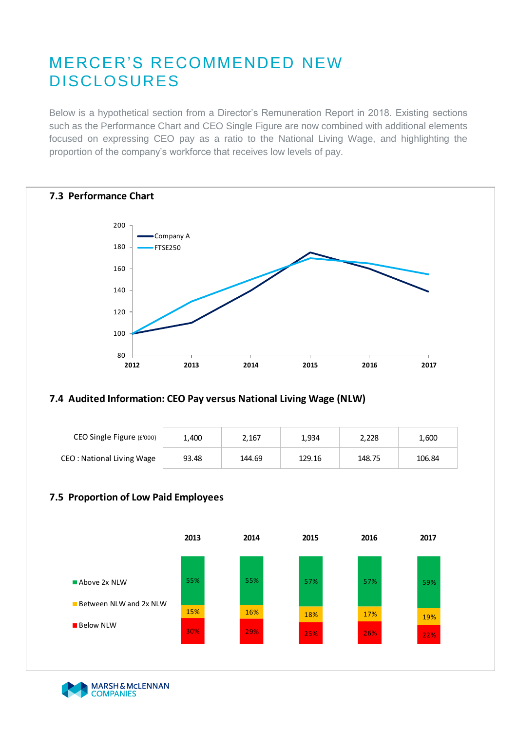### MERCER'S RECOMMENDED NEW DISCLOSURES

Below is a hypothetical section from a Director's Remuneration Report in 2018. Existing sections such as the Performance Chart and CEO Single Figure are now combined with additional elements focused on expressing CEO pay as a ratio to the National Living Wage, and highlighting the proportion of the company's workforce that receives low levels of pay.



#### **7.4 Audited Information: CEO Pay versus National Living Wage (NLW)**

| CEO Single Figure (£'000) | 1,400 | 2,167  | 1,934  | 2,228  | 1,600  |
|---------------------------|-------|--------|--------|--------|--------|
| CEO: National Living Wage | 93.48 | 144.69 | 129.16 | 148.75 | 106.84 |

### **7.5 Proportion of Low Paid Employees**